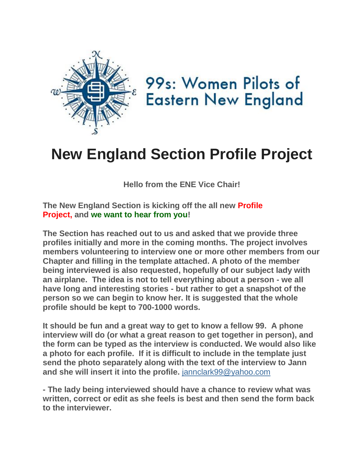

99s: Women Pilots of **Eastern New England** 

## **New England Section Profile Project**

**Hello from the ENE Vice Chair!**

**The New England Section is kicking off the all new Profile Project, and we want to hear from you!** 

**The Section has reached out to us and asked that we provide three profiles initially and more in the coming months. The project involves members volunteering to interview one or more other members from our Chapter and filling in the template attached. A photo of the member being interviewed is also requested, hopefully of our subject lady with an airplane. The idea is not to tell everything about a person - we all have long and interesting stories - but rather to get a snapshot of the person so we can begin to know her. It is suggested that the whole profile should be kept to 700-1000 words.** 

**It should be fun and a great way to get to know a fellow 99. A phone interview will do (or what a great reason to get together in person), and the form can be typed as the interview is conducted. We would also like a photo for each profile. If it is difficult to include in the template just send the photo separately along with the text of the interview to Jann and she will insert it into the profile.** [jannclark99@yahoo.com](mailto:jannclark99@yahoo.com)

**- The lady being interviewed should have a chance to review what was written, correct or edit as she feels is best and then send the form back to the interviewer.**